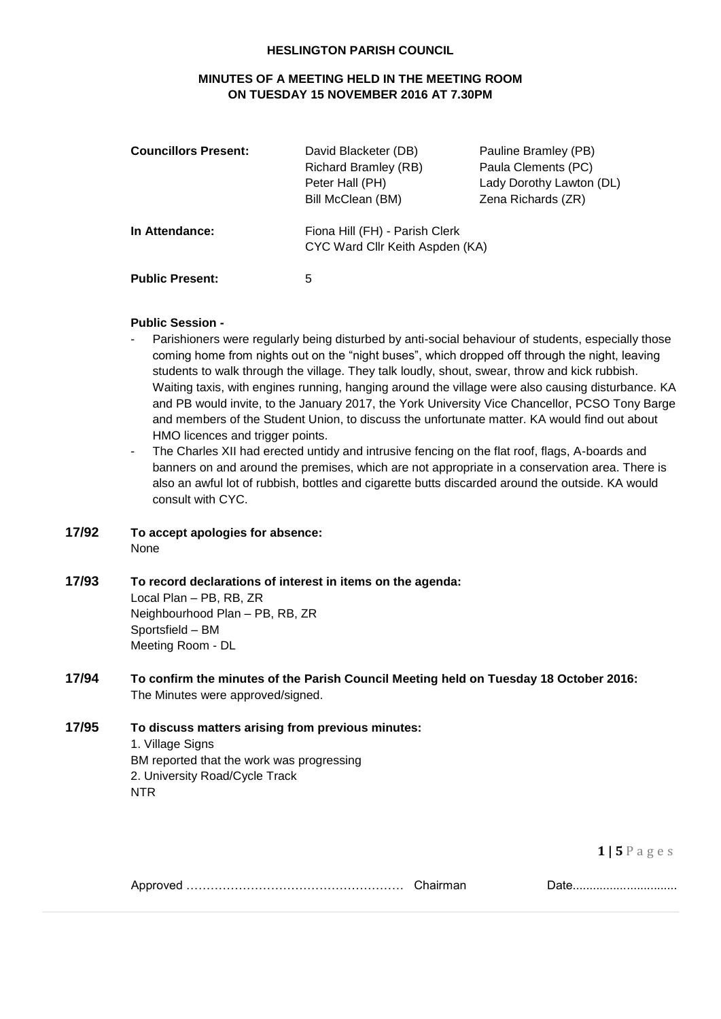#### **HESLINGTON PARISH COUNCIL**

# **MINUTES OF A MEETING HELD IN THE MEETING ROOM ON TUESDAY 15 NOVEMBER 2016 AT 7.30PM**

| <b>Councillors Present:</b> | David Blacketer (DB)<br>Richard Bramley (RB)<br>Peter Hall (PH)<br>Bill McClean (BM) | Pauline Bramley (PB)<br>Paula Clements (PC)<br>Lady Dorothy Lawton (DL)<br>Zena Richards (ZR) |
|-----------------------------|--------------------------------------------------------------------------------------|-----------------------------------------------------------------------------------------------|
| In Attendance:              | Fiona Hill (FH) - Parish Clerk<br>CYC Ward Cllr Keith Aspden (KA)                    |                                                                                               |
| <b>Public Present:</b>      | 5                                                                                    |                                                                                               |

#### **Public Session -**

- Parishioners were regularly being disturbed by anti-social behaviour of students, especially those coming home from nights out on the "night buses", which dropped off through the night, leaving students to walk through the village. They talk loudly, shout, swear, throw and kick rubbish. Waiting taxis, with engines running, hanging around the village were also causing disturbance. KA and PB would invite, to the January 2017, the York University Vice Chancellor, PCSO Tony Barge and members of the Student Union, to discuss the unfortunate matter. KA would find out about HMO licences and trigger points.
- The Charles XII had erected untidy and intrusive fencing on the flat roof, flags, A-boards and banners on and around the premises, which are not appropriate in a conservation area. There is also an awful lot of rubbish, bottles and cigarette butts discarded around the outside. KA would consult with CYC.
- **17/92 To accept apologies for absence:** None
- **17/93 To record declarations of interest in items on the agenda:**

Local Plan – PB, RB, ZR Neighbourhood Plan – PB, RB, ZR Sportsfield – BM Meeting Room - DL

- **17/94 To confirm the minutes of the Parish Council Meeting held on Tuesday 18 October 2016:** The Minutes were approved/signed.
- **17/95 To discuss matters arising from previous minutes:** 1. Village Signs BM reported that the work was progressing 2. University Road/Cycle Track NTR

**1 | 5** P a g e s

|  | Chairman |  |
|--|----------|--|
|--|----------|--|

Approved ……………………………………………… Chairman Date...............................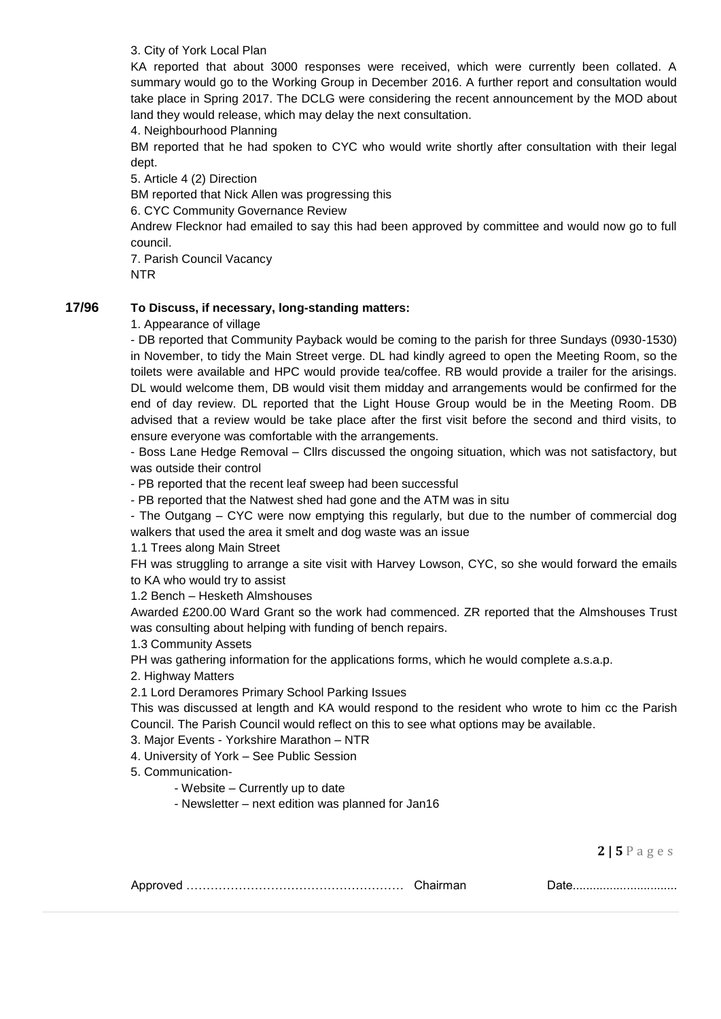### 3. City of York Local Plan

KA reported that about 3000 responses were received, which were currently been collated. A summary would go to the Working Group in December 2016. A further report and consultation would take place in Spring 2017. The DCLG were considering the recent announcement by the MOD about land they would release, which may delay the next consultation.

4. Neighbourhood Planning

BM reported that he had spoken to CYC who would write shortly after consultation with their legal dept.

5. Article 4 (2) Direction

BM reported that Nick Allen was progressing this

6. CYC Community Governance Review

Andrew Flecknor had emailed to say this had been approved by committee and would now go to full council.

7. Parish Council Vacancy NTR

## **17/96 To Discuss, if necessary, long-standing matters:**

1. Appearance of village

- DB reported that Community Payback would be coming to the parish for three Sundays (0930-1530) in November, to tidy the Main Street verge. DL had kindly agreed to open the Meeting Room, so the toilets were available and HPC would provide tea/coffee. RB would provide a trailer for the arisings. DL would welcome them, DB would visit them midday and arrangements would be confirmed for the end of day review. DL reported that the Light House Group would be in the Meeting Room. DB advised that a review would be take place after the first visit before the second and third visits, to ensure everyone was comfortable with the arrangements.

- Boss Lane Hedge Removal – Cllrs discussed the ongoing situation, which was not satisfactory, but was outside their control

- PB reported that the recent leaf sweep had been successful

- PB reported that the Natwest shed had gone and the ATM was in situ

- The Outgang – CYC were now emptying this regularly, but due to the number of commercial dog walkers that used the area it smelt and dog waste was an issue

1.1 Trees along Main Street

FH was struggling to arrange a site visit with Harvey Lowson, CYC, so she would forward the emails to KA who would try to assist

1.2 Bench – Hesketh Almshouses

Awarded £200.00 Ward Grant so the work had commenced. ZR reported that the Almshouses Trust was consulting about helping with funding of bench repairs.

1.3 Community Assets

PH was gathering information for the applications forms, which he would complete a.s.a.p.

2. Highway Matters

2.1 Lord Deramores Primary School Parking Issues

This was discussed at length and KA would respond to the resident who wrote to him cc the Parish Council. The Parish Council would reflect on this to see what options may be available.

3. Major Events - Yorkshire Marathon – NTR

4. University of York – See Public Session

5. Communication-

- Website – Currently up to date

- Newsletter – next edition was planned for Jan16

|  |  | $P$ ulv |
|--|--|---------|
|--|--|---------|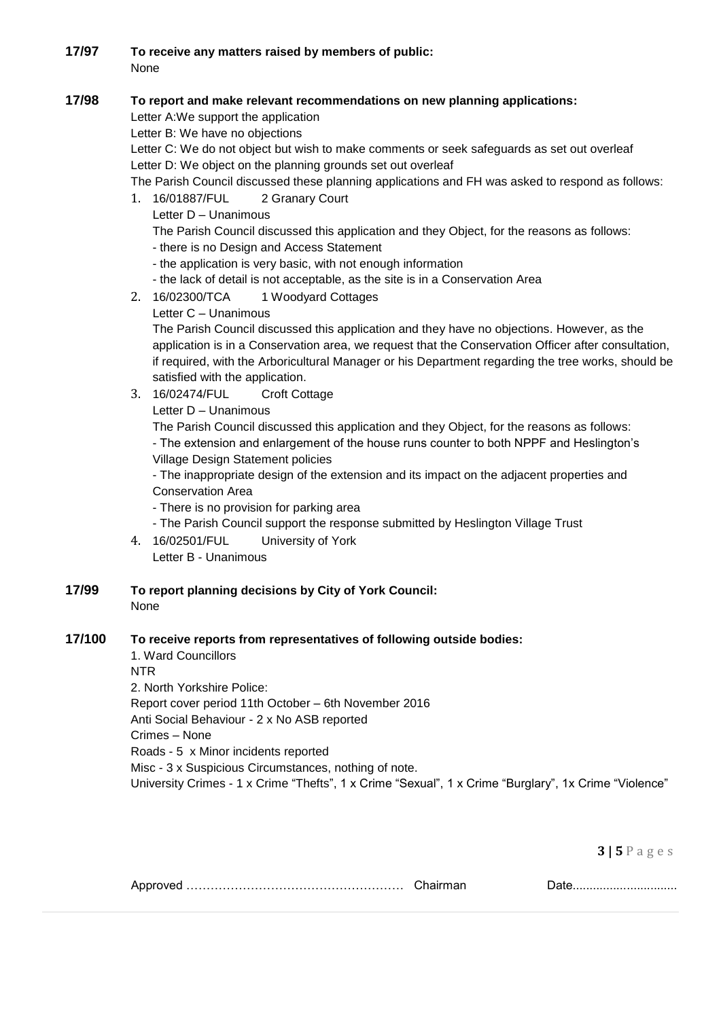**17/97 To receive any matters raised by members of public:** None

# **17/98 To report and make relevant recommendations on new planning applications:**

Letter A:We support the application

Letter B: We have no objections

Letter C: We do not object but wish to make comments or seek safeguards as set out overleaf Letter D: We object on the planning grounds set out overleaf

The Parish Council discussed these planning applications and FH was asked to respond as follows:

- 1. 16/01887/FUL 2 Granary Court
	- Letter D Unanimous

The Parish Council discussed this application and they Object, for the reasons as follows:

- there is no Design and Access Statement
- the application is very basic, with not enough information
- the lack of detail is not acceptable, as the site is in a Conservation Area
- 2. 16/02300/TCA 1 Woodyard Cottages
	- Letter C Unanimous

The Parish Council discussed this application and they have no objections. However, as the application is in a Conservation area, we request that the Conservation Officer after consultation, if required, with the Arboricultural Manager or his Department regarding the tree works, should be satisfied with the application.

3. 16/02474/FUL Croft Cottage

Letter D – Unanimous

The Parish Council discussed this application and they Object, for the reasons as follows: - The extension and enlargement of the house runs counter to both NPPF and Heslington's Village Design Statement policies

- The inappropriate design of the extension and its impact on the adjacent properties and Conservation Area

- There is no provision for parking area

- The Parish Council support the response submitted by Heslington Village Trust
- 4. 16/02501/FUL University of York Letter B - Unanimous
- **17/99 To report planning decisions by City of York Council:** None

### **17/100 To receive reports from representatives of following outside bodies:**

1. Ward Councillors NTR 2. North Yorkshire Police: Report cover period 11th October – 6th November 2016 Anti Social Behaviour - 2 x No ASB reported Crimes – None Roads - 5 x Minor incidents reported Misc - 3 x Suspicious Circumstances, nothing of note. University Crimes - 1 x Crime "Thefts", 1 x Crime "Sexual", 1 x Crime "Burglary", 1x Crime "Violence"

|--|--|--|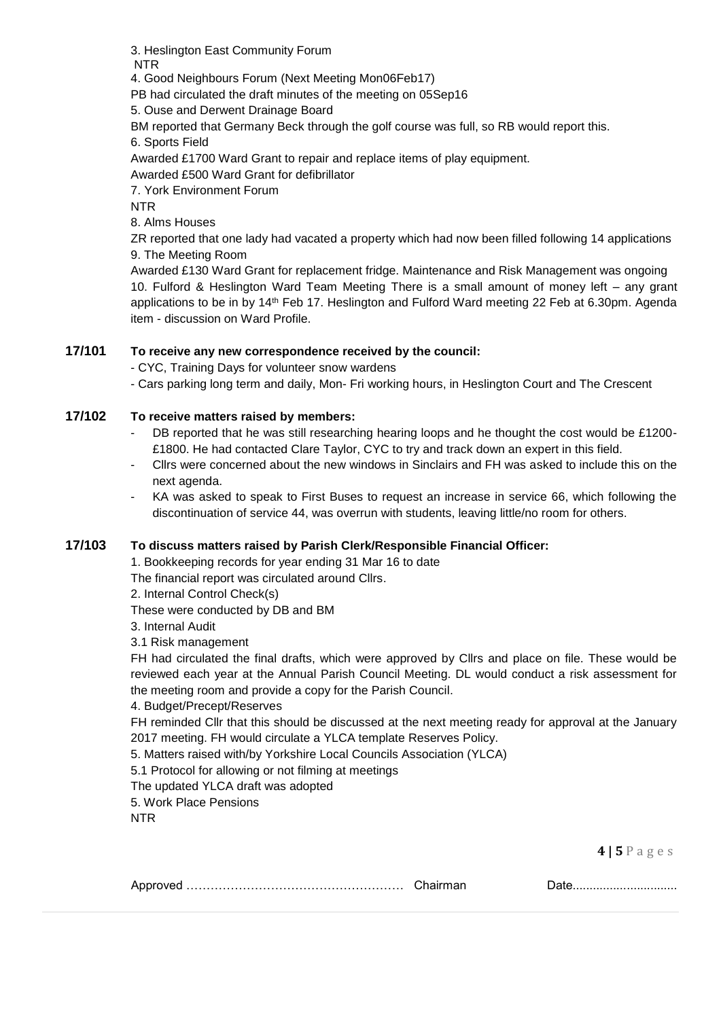3. Heslington East Community Forum NTR 4. Good Neighbours Forum (Next Meeting Mon06Feb17) PB had circulated the draft minutes of the meeting on 05Sep16

5. Ouse and Derwent Drainage Board

BM reported that Germany Beck through the golf course was full, so RB would report this.

6. Sports Field

Awarded £1700 Ward Grant to repair and replace items of play equipment.

Awarded £500 Ward Grant for defibrillator

7. York Environment Forum

NTR

8. Alms Houses

ZR reported that one lady had vacated a property which had now been filled following 14 applications 9. The Meeting Room

Awarded £130 Ward Grant for replacement fridge. Maintenance and Risk Management was ongoing 10. Fulford & Heslington Ward Team Meeting There is a small amount of money left – any grant applications to be in by 14<sup>th</sup> Feb 17. Heslington and Fulford Ward meeting 22 Feb at 6.30pm. Agenda item - discussion on Ward Profile.

## **17/101 To receive any new correspondence received by the council:**

- CYC, Training Days for volunteer snow wardens

- Cars parking long term and daily, Mon- Fri working hours, in Heslington Court and The Crescent

## **17/102 To receive matters raised by members:**

- DB reported that he was still researching hearing loops and he thought the cost would be £1200-£1800. He had contacted Clare Taylor, CYC to try and track down an expert in this field.
- Cllrs were concerned about the new windows in Sinclairs and FH was asked to include this on the next agenda.
- KA was asked to speak to First Buses to request an increase in service 66, which following the discontinuation of service 44, was overrun with students, leaving little/no room for others.

### **17/103 To discuss matters raised by Parish Clerk/Responsible Financial Officer:**

1. Bookkeeping records for year ending 31 Mar 16 to date

The financial report was circulated around Cllrs.

2. Internal Control Check(s)

These were conducted by DB and BM

3. Internal Audit

3.1 Risk management

FH had circulated the final drafts, which were approved by Cllrs and place on file. These would be reviewed each year at the Annual Parish Council Meeting. DL would conduct a risk assessment for the meeting room and provide a copy for the Parish Council.

### 4. Budget/Precept/Reserves

FH reminded Cllr that this should be discussed at the next meeting ready for approval at the January 2017 meeting. FH would circulate a YLCA template Reserves Policy.

5. Matters raised with/by Yorkshire Local Councils Association (YLCA)

5.1 Protocol for allowing or not filming at meetings

The updated YLCA draft was adopted

5. Work Place Pensions

NTR

|--|--|--|